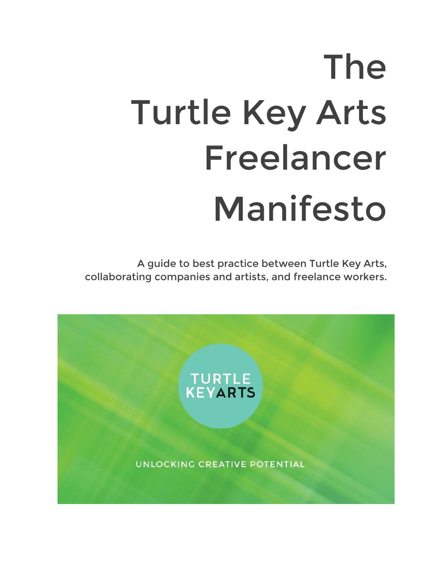# The Turtle Key Arts Freelancer Manifesto

A guide to best practice between Turtle Key Arts, collaborating companies and artists, and freelance workers.

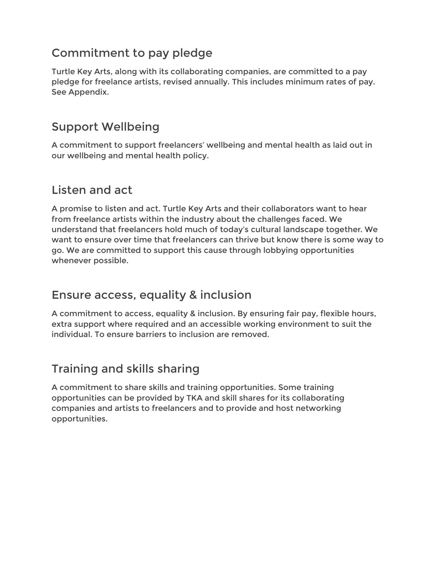# Commitment to pay pledge

Turtle Key Arts, along with its collaborating companies, are committed to a pay pledge for freelance artists, revised annually. This includes minimum rates of pay. See Appendix.

# Support Wellbeing

A commitment to support freelancers' wellbeing and mental health as laid out in our wellbeing and mental health policy.

# Listen and act

A promise to listen and act. Turtle Key Arts and their collaborators want to hear from freelance artists within the industry about the challenges faced. We understand that freelancers hold much of today's cultural landscape together. We want to ensure over time that freelancers can thrive but know there is some way to go. We are committed to support this cause through lobbying opportunities whenever possible.

### Ensure access, equality & inclusion

A commitment to access, equality & inclusion. By ensuring fair pay, flexible hours, extra support where required and an accessible working environment to suit the individual. To ensure barriers to inclusion are removed.

# Training and skills sharing

A commitment to share skills and training opportunities. Some training opportunities can be provided by TKA and skill shares for its collaborating companies and artists to freelancers and to provide and host networking opportunities.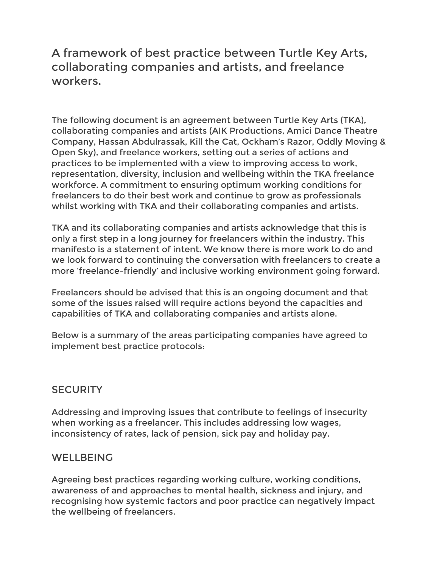## A framework of best practice between Turtle Key Arts, collaborating companies and artists, and freelance workers.

The following document is an agreement between Turtle Key Arts (TKA), collaborating companies and artists (AIK Productions, Amici Dance Theatre Company, Hassan Abdulrassak, Kill the Cat, Ockham's Razor, Oddly Moving & Open Sky), and freelance workers, setting out a series of actions and practices to be implemented with a view to improving access to work, representation, diversity, inclusion and wellbeing within the TKA freelance workforce. A commitment to ensuring optimum working conditions for freelancers to do their best work and continue to grow as professionals whilst working with TKA and their collaborating companies and artists.

TKA and its collaborating companies and artists acknowledge that this is only a first step in a long journey for freelancers within the industry. This manifesto is a statement of intent. We know there is more work to do and we look forward to continuing the conversation with freelancers to create a more 'freelance-friendly' and inclusive working environment going forward.

Freelancers should be advised that this is an ongoing document and that some of the issues raised will require actions beyond the capacities and capabilities of TKA and collaborating companies and artists alone.

Below is a summary of the areas participating companies have agreed to implement best practice protocols:

#### **SECURITY**

Addressing and improving issues that contribute to feelings of insecurity when working as a freelancer. This includes addressing low wages, inconsistency of rates, lack of pension, sick pay and holiday pay.

#### **WELLBEING**

Agreeing best practices regarding working culture, working conditions, awareness of and approaches to mental health, sickness and injury, and recognising how systemic factors and poor practice can negatively impact the wellbeing of freelancers.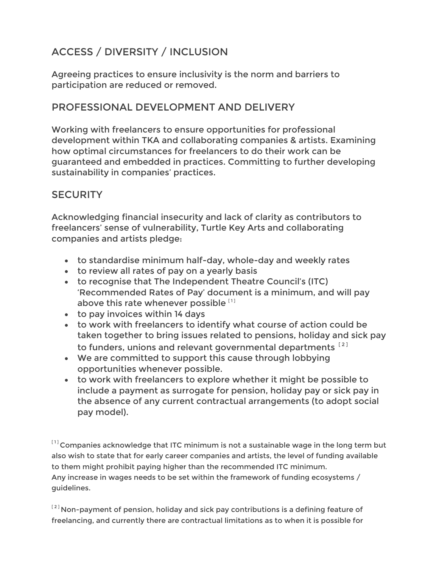# ACCESS / DIVERSITY / INCLUSION

Agreeing practices to ensure inclusivity is the norm and barriers to participation are reduced or removed.

#### PROFESSIONAL DEVELOPMENT AND DELIVERY

Working with freelancers to ensure opportunities for professional development within TKA and collaborating companies & artists. Examining how optimal circumstances for freelancers to do their work can be guaranteed and embedded in practices. Committing to further developing sustainability in companies' practices.

#### **SECURITY**

Acknowledging financial insecurity and lack of clarity as contributors to freelancers' sense of vulnerability, Turtle Key Arts and collaborating companies and artists pledge:

- to standardise minimum half-day, whole-day and weekly rates
- to review all rates of pay on a yearly basis
- to recognise that The Independent Theatre Council's (ITC) 'Recommended Rates of Pay' document is a minimum, and will pay above this rate whenever possible [1]
- to pay invoices within 14 days
- to work with freelancers to identify what course of action could be taken together to bring issues related to pensions, holiday and sick pay to funders, unions and relevant governmental departments<sup>[2]</sup>
- We are committed to support this cause through lobbying opportunities whenever possible.
- to work with freelancers to explore whether it might be possible to include a payment as surrogate for pension, holiday pay or sick pay in the absence of any current contractual arrangements (to adopt social pay model).

 $^{\left[ 1\right] }$ Companies acknowledge that ITC minimum is not a sustainable wage in the long term but also wish to state that for early career companies and artists, the level of funding available to them might prohibit paying higher than the recommended ITC minimum. Any increase in wages needs to be set within the framework of funding ecosystems / guidelines.

 $^{[2]}$ Non-payment of pension, holiday and sick pay contributions is a defining feature of freelancing, and currently there are contractual limitations as to when it is possible for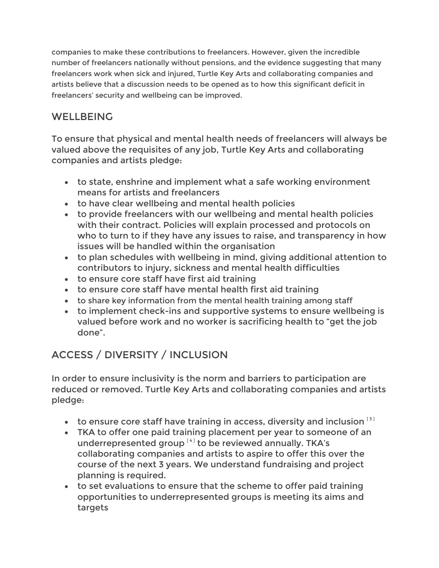companies to make these contributions to freelancers. However, given the incredible number of freelancers nationally without pensions, and the evidence suggesting that many freelancers work when sick and injured, Turtle Key Arts and collaborating companies and artists believe that a discussion needs to be opened as to how this significant deficit in freelancers' security and wellbeing can be improved.

#### **WELLBEING**

To ensure that physical and mental health needs of freelancers will always be valued above the requisites of any job, Turtle Key Arts and collaborating companies and artists pledge:

- to state, enshrine and implement what a safe working environment means for artists and freelancers
- to have clear wellbeing and mental health policies
- to provide freelancers with our wellbeing and mental health policies with their contract. Policies will explain processed and protocols on who to turn to if they have any issues to raise, and transparency in how issues will be handled within the organisation
- to plan schedules with wellbeing in mind, giving additional attention to contributors to injury, sickness and mental health difficulties
- to ensure core staff have first aid training
- to ensure core staff have mental health first aid training
- to share key information from the mental health training among staff
- to implement check-ins and supportive systems to ensure wellbeing is valued before work and no worker is sacrificing health to "get the job done".

# ACCESS / DIVERSITY / INCLUSION

In order to ensure inclusivity is the norm and barriers to participation are reduced or removed. Turtle Key Arts and collaborating companies and artists pledge:

- to ensure core staff have training in access, diversity and inclusion  $[3]$
- TKA to offer one paid training placement per year to someone of an underrepresented group  $^{[4]}$  to be reviewed annually. TKA's collaborating companies and artists to aspire to offer this over the course of the next 3 years. We understand fundraising and project planning is required.
- to set evaluations to ensure that the scheme to offer paid training opportunities to underrepresented groups is meeting its aims and targets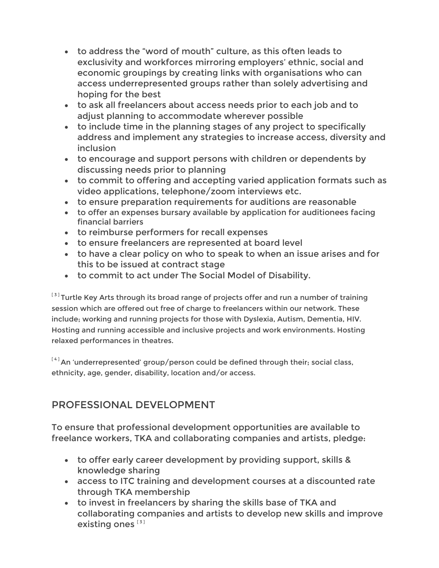- to address the "word of mouth" culture, as this often leads to exclusivity and workforces mirroring employers' ethnic, social and economic groupings by creating links with organisations who can access underrepresented groups rather than solely advertising and hoping for the best
- to ask all freelancers about access needs prior to each job and to adjust planning to accommodate wherever possible
- to include time in the planning stages of any project to specifically address and implement any strategies to increase access, diversity and inclusion
- to encourage and support persons with children or dependents by discussing needs prior to planning
- to commit to offering and accepting varied application formats such as video applications, telephone/zoom interviews etc.
- to ensure preparation requirements for auditions are reasonable
- to offer an expenses bursary available by application for auditionees facing financial barriers
- to reimburse performers for recall expenses
- to ensure freelancers are represented at board level
- to have a clear policy on who to speak to when an issue arises and for this to be issued at contract stage
- to commit to act under The Social Model of Disability.

 $^{\left[ 3\right] }$ Turtle Key Arts through its broad range of projects offer and run a number of training session which are offered out free of charge to freelancers within our network. These include; working and running projects for those with Dyslexia, Autism, Dementia, HIV. Hosting and running accessible and inclusive projects and work environments. Hosting relaxed performances in theatres.

 $[4]$ An 'underrepresented' group/person could be defined through their; social class, ethnicity, age, gender, disability, location and/or access.

#### PROFESSIONAL DEVELOPMENT

To ensure that professional development opportunities are available to freelance workers, TKA and collaborating companies and artists, pledge:

- to offer early career development by providing support, skills & knowledge sharing
- access to ITC training and development courses at a discounted rate through TKA membership
- to invest in freelancers by sharing the skills base of TKA and collaborating companies and artists to develop new skills and improve existing ones  $[3]$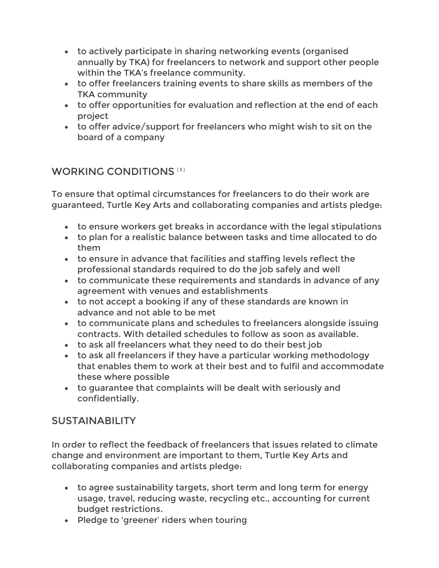- to actively participate in sharing networking events (organised annually by TKA) for freelancers to network and support other people within the TKA's freelance community.
- to offer freelancers training events to share skills as members of the TKA community
- to offer opportunities for evaluation and reflection at the end of each project
- to offer advice/support for freelancers who might wish to sit on the board of a company

#### WORKING CONDITIONS<sup>[5]</sup>

To ensure that optimal circumstances for freelancers to do their work are guaranteed, Turtle Key Arts and collaborating companies and artists pledge:

- to ensure workers get breaks in accordance with the legal stipulations
- to plan for a realistic balance between tasks and time allocated to do them
- to ensure in advance that facilities and staffing levels reflect the professional standards required to do the job safely and well
- to communicate these requirements and standards in advance of any agreement with venues and establishments
- to not accept a booking if any of these standards are known in advance and not able to be met
- to communicate plans and schedules to freelancers alongside issuing contracts. With detailed schedules to follow as soon as available.
- to ask all freelancers what they need to do their best job
- to ask all freelancers if they have a particular working methodology that enables them to work at their best and to fulfil and accommodate these where possible
- to guarantee that complaints will be dealt with seriously and confidentially.

#### SUSTAINABILITY

In order to reflect the feedback of freelancers that issues related to climate change and environment are important to them, Turtle Key Arts and collaborating companies and artists pledge:

- to agree sustainability targets, short term and long term for energy usage, travel, reducing waste, recycling etc., accounting for current budget restrictions.
- Pledge to 'greener' riders when touring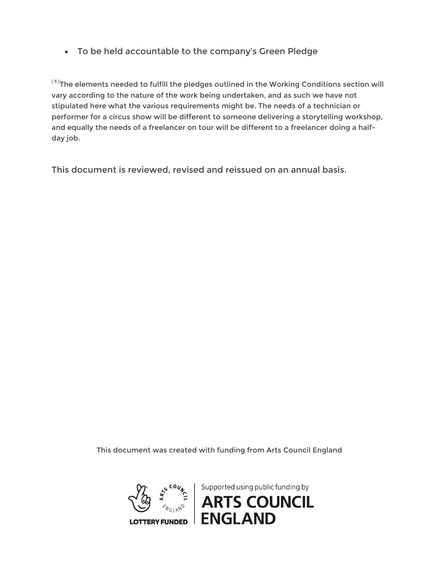• To be held accountable to the company's Green Pledge

 $^{\text{\tiny{[5]}}}$ The elements needed to fulfill the pledges outlined in the Working Conditions section will vary according to the nature of the work being undertaken, and as such we have not stipulated here what the various requirements might be. The needs of a technician or performer for a circus show will be different to someone delivering a storytelling workshop, and equally the needs of a freelancer on tour will be different to a freelancer doing a halfday job.

This document is reviewed, revised and reissued on an annual basis.

This document was created with funding from Arts Council England

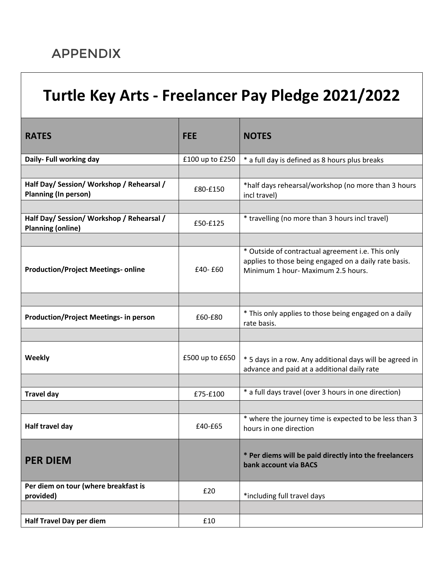# APPENDIX

# **Turtle Key Arts - Freelancer Pay Pledge 2021/2022**

| <b>RATES</b>                                                             | <b>FEE</b>      | <b>NOTES</b>                                                                                                                                     |
|--------------------------------------------------------------------------|-----------------|--------------------------------------------------------------------------------------------------------------------------------------------------|
| Daily- Full working day                                                  | £100 up to £250 | * a full day is defined as 8 hours plus breaks                                                                                                   |
|                                                                          |                 |                                                                                                                                                  |
| Half Day/ Session/ Workshop / Rehearsal /<br><b>Planning (In person)</b> | £80-£150        | *half days rehearsal/workshop (no more than 3 hours<br>incl travel)                                                                              |
|                                                                          |                 |                                                                                                                                                  |
| Half Day/ Session/ Workshop / Rehearsal /<br><b>Planning (online)</b>    | £50-£125        | * travelling (no more than 3 hours incl travel)                                                                                                  |
|                                                                          |                 |                                                                                                                                                  |
| <b>Production/Project Meetings- online</b>                               | £40-£60         | * Outside of contractual agreement i.e. This only<br>applies to those being engaged on a daily rate basis.<br>Minimum 1 hour- Maximum 2.5 hours. |
|                                                                          |                 |                                                                                                                                                  |
| <b>Production/Project Meetings- in person</b>                            | £60-£80         | * This only applies to those being engaged on a daily<br>rate basis.                                                                             |
|                                                                          |                 |                                                                                                                                                  |
| <b>Weekly</b>                                                            | £500 up to £650 | * 5 days in a row. Any additional days will be agreed in<br>advance and paid at a additional daily rate                                          |
|                                                                          |                 |                                                                                                                                                  |
| <b>Travel day</b>                                                        | £75-£100        | * a full days travel (over 3 hours in one direction)                                                                                             |
|                                                                          |                 |                                                                                                                                                  |
| Half travel day                                                          | £40-£65         | * where the journey time is expected to be less than 3<br>hours in one direction                                                                 |
| <b>PER DIEM</b>                                                          |                 | * Per diems will be paid directly into the freelancers<br>bank account via BACS                                                                  |
| Per diem on tour (where breakfast is<br>provided)                        | £20             | *including full travel days                                                                                                                      |
|                                                                          |                 |                                                                                                                                                  |
| Half Travel Day per diem                                                 | £10             |                                                                                                                                                  |